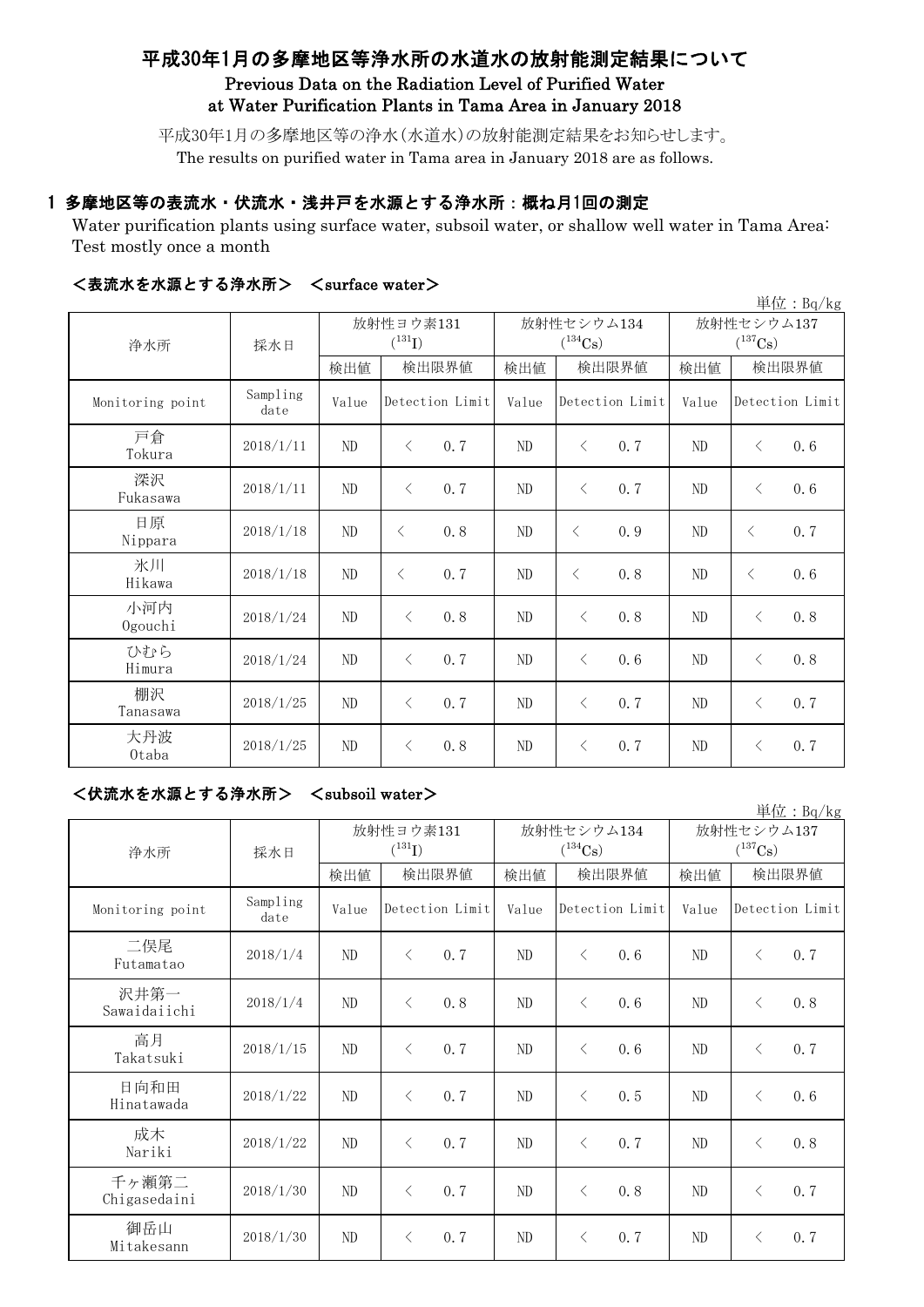# 平成30年1月の多摩地区等浄水所の水道水の放射能測定結果について Previous Data on the Radiation Level of Purified Water at Water Purification Plants in Tama Area in January 2018

平成30年1月の多摩地区等の浄水(水道水)の放射能測定結果をお知らせします。 The results on purified water in Tama area in January 2018 are as follows.

# 1 多摩地区等の表流水・伏流水・浅井戸を水源とする浄水所:概ね月1回の測定

Water purification plants using surface water, subsoil water, or shallow well water in Tama Area: Test mostly once a month

| $\sim$ 2002 - 2003 - 2003 - 2004 - 2005 - 2007 - 2008 - 2008 - 2008 - 2008 - 2008 - 2008 - 2008 - 2008 - 2008 - 2008 - 2008 - 2008 - 2008 - 2008 - 2008 - 2008 - 2008 - 2008 - 2008 - 2008 - 2008 - 2008 - 2008 - 2008 - 2008 -<br>単位: Bq/kg |                  |                                   |           |                            |          |           |                                     |       |           |                 |
|----------------------------------------------------------------------------------------------------------------------------------------------------------------------------------------------------------------------------------------------|------------------|-----------------------------------|-----------|----------------------------|----------|-----------|-------------------------------------|-------|-----------|-----------------|
| 浄水所                                                                                                                                                                                                                                          | 採水日              | 放射性ヨウ素131<br>$(^{131}\mathrm{I})$ |           | 放射性セシウム134<br>$(^{134}Cs)$ |          |           | 放射性セシウム137<br>$(^{137}\mathrm{Cs})$ |       |           |                 |
|                                                                                                                                                                                                                                              |                  | 検出値                               |           | 検出限界値                      | 検出値      |           | 検出限界値                               | 検出値   |           | 検出限界値           |
| Monitoring point                                                                                                                                                                                                                             | Sampling<br>date | Value                             |           | Detection Limit            | Value    |           | Detection Limit                     | Value |           | Detection Limit |
| 戸倉<br>Tokura                                                                                                                                                                                                                                 | 2018/1/11        | ND                                | $\lt$     | 0.7                        | ND       | $\langle$ | 0.7                                 | ND    | $\langle$ | 0.6             |
| 深沢<br>Fukasawa                                                                                                                                                                                                                               | 2018/1/11        | ND                                | $\langle$ | 0.7                        | ND       | $\langle$ | 0.7                                 | ND    | $\langle$ | 0.6             |
| 日原<br>Nippara                                                                                                                                                                                                                                | 2018/1/18        | $\rm ND$                          | $\langle$ | 0.8                        | $\rm ND$ | $\langle$ | 0.9                                 | ND    | $\langle$ | 0.7             |
| 氷川<br>Hikawa                                                                                                                                                                                                                                 | 2018/1/18        | ND                                | $\langle$ | 0.7                        | ND       | $\langle$ | 0.8                                 | ND    | $\langle$ | 0.6             |
| 小河内<br>Ogouchi                                                                                                                                                                                                                               | 2018/1/24        | ND                                | $\langle$ | 0.8                        | ND       | $\langle$ | 0.8                                 | ND    | $\langle$ | 0.8             |
| ひむら<br>Himura                                                                                                                                                                                                                                | 2018/1/24        | ND                                | $\lt$     | 0.7                        | ND       | $\langle$ | 0.6                                 | ND    | $\langle$ | 0.8             |
| 棚沢<br>Tanasawa                                                                                                                                                                                                                               | 2018/1/25        | ND                                | $\langle$ | 0.7                        | ND       | $\langle$ | 0.7                                 | ND    | $\langle$ | 0.7             |
| 大丹波<br>0taba                                                                                                                                                                                                                                 | 2018/1/25        | ND                                | $\langle$ | 0.8                        | ND       | $\lt$     | 0.7                                 | ND    | $\langle$ | 0.7             |

# <表流水を水源とする浄水所> <surface water>

### <伏流水を水源とする浄水所> <subsoil water>

| 浄水所                   | 採水日              | 放射性ヨウ素131<br>$(^{131}I)$ |                  |       | 放射性セシウム134<br>$(^{134}Cs)$ | 放射性セシウム137<br>$(^{137}Cs)$ |                  |
|-----------------------|------------------|--------------------------|------------------|-------|----------------------------|----------------------------|------------------|
|                       |                  | 検出値                      | 検出限界値            | 検出値   | 検出限界値                      | 検出値                        | 検出限界値            |
| Monitoring point      | Sampling<br>date | Value                    | Detection Limit  | Value | Detection Limit            | Value                      | Detection Limit  |
| 二俣尾<br>Futamatao      | 2018/1/4         | ND                       | $\langle$<br>0.7 | ND    | $\langle$<br>0.6           | ND                         | 0.7<br>$\langle$ |
| 沢井第一<br>Sawaidaiichi  | 2018/1/4         | ND                       | $\langle$<br>0.8 | ND    | $\lt$<br>0.6               | ND                         | 0.8<br>$\lt$     |
| 高月<br>Takatsuki       | 2018/1/15        | $\rm ND$                 | 0.7<br>$\langle$ | ND    | $\langle$<br>0.6           | ND                         | 0.7<br>$\langle$ |
| 日向和田<br>Hinatawada    | 2018/1/22        | ND                       | 0.7<br>$\langle$ | ND    | 0.5<br>$\lt$               | ND                         | 0.6<br>$\lt$     |
| 成木<br>Nariki          | 2018/1/22        | $\rm ND$                 | 0.7<br>$\langle$ | ND    | 0.7<br>$\langle$           | ND                         | 0.8<br>$\langle$ |
| 千ヶ瀬第二<br>Chigasedaini | 2018/1/30        | $\rm ND$                 | 0.7<br>$\langle$ | ND    | 0.8<br>$\langle$           | ND                         | 0.7<br>$\langle$ |
| 御岳山<br>Mitakesann     | 2018/1/30        | ND                       | 0.7<br>$\langle$ | ND    | 0.7<br>$\lt$               | ND                         | 0.7<br>$\langle$ |

単位:Bq/kg